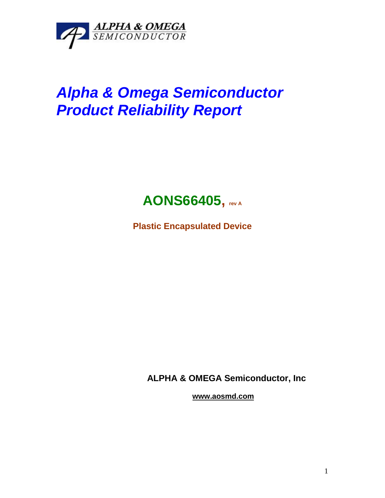

## *Alpha & Omega Semiconductor Product Reliability Report*



**Plastic Encapsulated Device**

**ALPHA & OMEGA Semiconductor, Inc**

**www.aosmd.com**